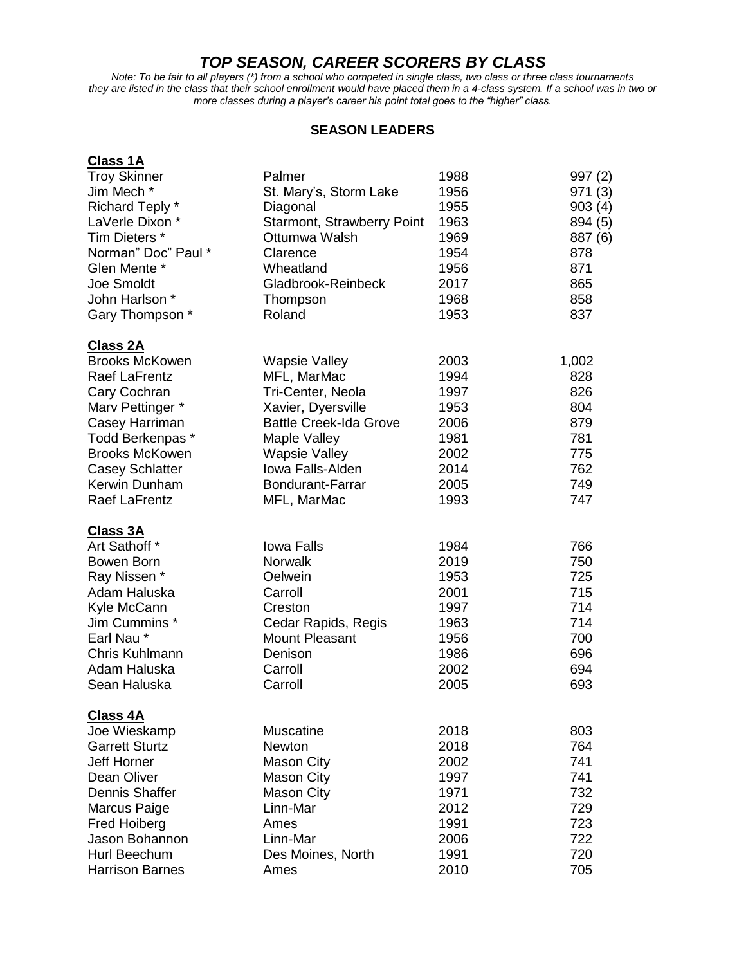## *TOP SEASON, CAREER SCORERS BY CLASS*

*Note: To be fair to all players (\*) from a school who competed in single class, two class or three class tournaments they are listed in the class that their school enrollment would have placed them in a 4-class system. If a school was in two or more classes during a player's career his point total goes to the "higher" class.*

## **SEASON LEADERS**

| <b>Class 1A</b>        |                                   |      |         |
|------------------------|-----------------------------------|------|---------|
| <b>Troy Skinner</b>    | Palmer                            | 1988 | 997(2)  |
| Jim Mech *             | St. Mary's, Storm Lake            | 1956 | 971 (3) |
| Richard Teply *        | Diagonal                          | 1955 | 903(4)  |
| LaVerle Dixon *        | <b>Starmont, Strawberry Point</b> | 1963 | 894 (5) |
| Tim Dieters *          | Ottumwa Walsh                     | 1969 | 887 (6) |
| Norman" Doc" Paul *    | Clarence                          | 1954 | 878     |
| Glen Mente *           | Wheatland                         | 1956 | 871     |
| Joe Smoldt             | Gladbrook-Reinbeck                | 2017 | 865     |
| John Harlson *         | Thompson                          | 1968 | 858     |
| Gary Thompson *        | Roland                            | 1953 | 837     |
| <b>Class 2A</b>        |                                   |      |         |
| <b>Brooks McKowen</b>  | <b>Wapsie Valley</b>              | 2003 | 1,002   |
| <b>Raef LaFrentz</b>   | MFL, MarMac                       | 1994 | 828     |
| Cary Cochran           | Tri-Center, Neola                 | 1997 | 826     |
| Marv Pettinger *       | Xavier, Dyersville                | 1953 | 804     |
| Casey Harriman         | <b>Battle Creek-Ida Grove</b>     | 2006 | 879     |
| Todd Berkenpas *       | Maple Valley                      | 1981 | 781     |
| <b>Brooks McKowen</b>  | <b>Wapsie Valley</b>              | 2002 | 775     |
| <b>Casey Schlatter</b> | Iowa Falls-Alden                  | 2014 | 762     |
| Kerwin Dunham          | Bondurant-Farrar                  | 2005 | 749     |
| <b>Raef LaFrentz</b>   | MFL, MarMac                       | 1993 | 747     |
| <b>Class 3A</b>        |                                   |      |         |
| Art Sathoff *          | <b>Iowa Falls</b>                 | 1984 | 766     |
| Bowen Born             | <b>Norwalk</b>                    | 2019 | 750     |
| Ray Nissen *           | Oelwein                           | 1953 | 725     |
| Adam Haluska           | Carroll                           | 2001 | 715     |
| Kyle McCann            | Creston                           | 1997 | 714     |
| Jim Cummins *          | Cedar Rapids, Regis               | 1963 | 714     |
| Earl Nau*              | <b>Mount Pleasant</b>             | 1956 | 700     |
| Chris Kuhlmann         | Denison                           | 1986 | 696     |
| Adam Haluska           | Carroll                           | 2002 | 694     |
| Sean Haluska           | Carroll                           | 2005 | 693     |
| <b>Class 4A</b>        |                                   |      |         |
| Joe Wieskamp           | <b>Muscatine</b>                  | 2018 | 803     |
| <b>Garrett Sturtz</b>  | <b>Newton</b>                     | 2018 | 764     |
| <b>Jeff Horner</b>     | <b>Mason City</b>                 | 2002 | 741     |
| Dean Oliver            | <b>Mason City</b>                 | 1997 | 741     |
| <b>Dennis Shaffer</b>  | <b>Mason City</b>                 | 1971 | 732     |
| Marcus Paige           | Linn-Mar                          | 2012 | 729     |
| <b>Fred Hoiberg</b>    | Ames                              | 1991 | 723     |
| Jason Bohannon         | Linn-Mar                          | 2006 | 722     |
| Hurl Beechum           | Des Moines, North                 | 1991 | 720     |
| <b>Harrison Barnes</b> | Ames                              | 2010 | 705     |